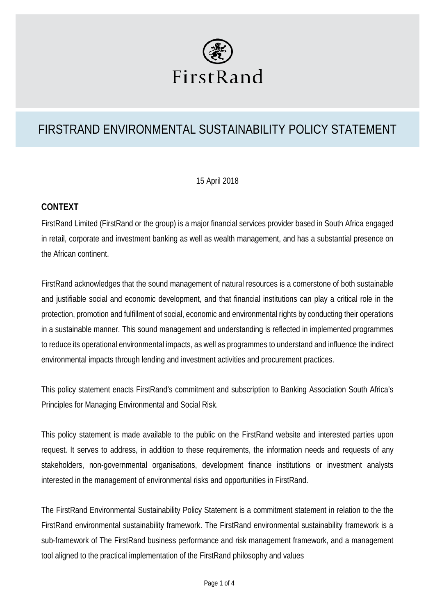

# FIRSTRAND ENVIRONMENTAL SUSTAINABILITY POLICY STATEMENT

#### 15 April 2018

## **CONTEXT**

FirstRand Limited (FirstRand or the group) is a major financial services provider based in South Africa engaged in retail, corporate and investment banking as well as wealth management, and has a substantial presence on the African continent.

FirstRand acknowledges that the sound management of natural resources is a cornerstone of both sustainable and justifiable social and economic development, and that financial institutions can play a critical role in the protection, promotion and fulfillment of social, economic and environmental rights by conducting their operations in a sustainable manner. This sound management and understanding is reflected in implemented programmes to reduce its operational environmental impacts, as well as programmes to understand and influence the indirect environmental impacts through lending and investment activities and procurement practices.

This policy statement enacts FirstRand's commitment and subscription to Banking Association South Africa's Principles for Managing Environmental and Social Risk.

This policy statement is made available to the public on the FirstRand website and interested parties upon request. It serves to address, in addition to these requirements, the information needs and requests of any stakeholders, non-governmental organisations, development finance institutions or investment analysts interested in the management of environmental risks and opportunities in FirstRand.

The FirstRand Environmental Sustainability Policy Statement is a commitment statement in relation to the the FirstRand environmental sustainability framework. The FirstRand environmental sustainability framework is a sub-framework of The FirstRand business performance and risk management framework, and a management tool aligned to the practical implementation of the FirstRand philosophy and values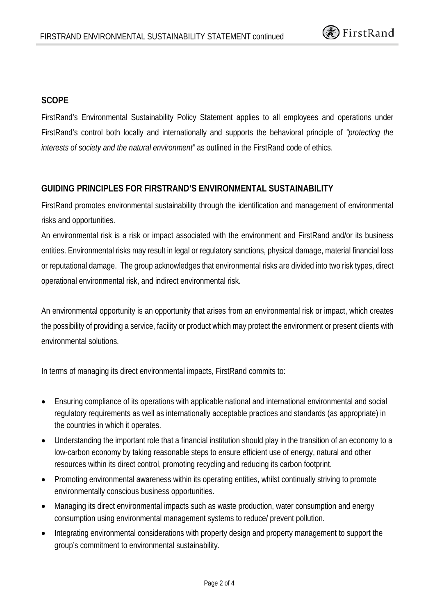#### **SCOPE**

FirstRand's Environmental Sustainability Policy Statement applies to all employees and operations under FirstRand's control both locally and internationally and supports the behavioral principle of *"protecting the interests of society and the natural environment"* as outlined in the FirstRand code of ethics.

## **GUIDING PRINCIPLES FOR FIRSTRAND'S ENVIRONMENTAL SUSTAINABILITY**

FirstRand promotes environmental sustainability through the identification and management of environmental risks and opportunities.

An environmental risk is a risk or impact associated with the environment and FirstRand and/or its business entities. Environmental risks may result in legal or regulatory sanctions, physical damage, material financial loss or reputational damage. The group acknowledges that environmental risks are divided into two risk types, direct operational environmental risk, and indirect environmental risk.

An environmental opportunity is an opportunity that arises from an environmental risk or impact, which creates the possibility of providing a service, facility or product which may protect the environment or present clients with environmental solutions.

In terms of managing its direct environmental impacts, FirstRand commits to:

- Ensuring compliance of its operations with applicable national and international environmental and social regulatory requirements as well as internationally acceptable practices and standards (as appropriate) in the countries in which it operates.
- Understanding the important role that a financial institution should play in the transition of an economy to a low-carbon economy by taking reasonable steps to ensure efficient use of energy, natural and other resources within its direct control, promoting recycling and reducing its carbon footprint.
- Promoting environmental awareness within its operating entities, whilst continually striving to promote environmentally conscious business opportunities.
- Managing its direct environmental impacts such as waste production, water consumption and energy consumption using environmental management systems to reduce/ prevent pollution.
- Integrating environmental considerations with property design and property management to support the group's commitment to environmental sustainability.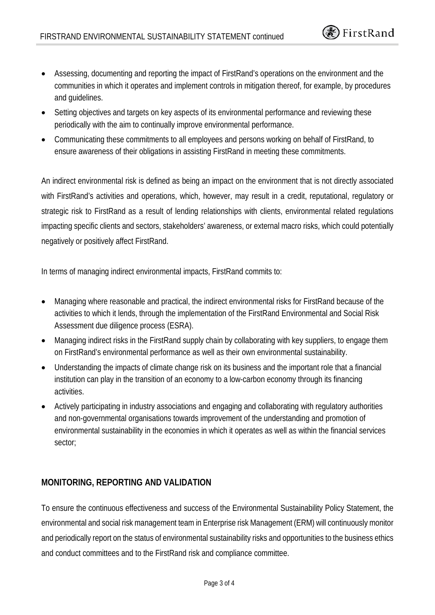• Assessing, documenting and reporting the impact of FirstRand's operations on the environment and the communities in which it operates and implement controls in mitigation thereof, for example, by procedures and guidelines.

**图** FirstRand

- Setting objectives and targets on key aspects of its environmental performance and reviewing these periodically with the aim to continually improve environmental performance.
- Communicating these commitments to all employees and persons working on behalf of FirstRand, to ensure awareness of their obligations in assisting FirstRand in meeting these commitments.

An indirect environmental risk is defined as being an impact on the environment that is not directly associated with FirstRand's activities and operations, which, however, may result in a credit, reputational, regulatory or strategic risk to FirstRand as a result of lending relationships with clients, environmental related regulations impacting specific clients and sectors, stakeholders' awareness, or external macro risks, which could potentially negatively or positively affect FirstRand.

In terms of managing indirect environmental impacts, FirstRand commits to:

- Managing where reasonable and practical, the indirect environmental risks for FirstRand because of the activities to which it lends, through the implementation of the FirstRand Environmental and Social Risk Assessment due diligence process (ESRA).
- Managing indirect risks in the FirstRand supply chain by collaborating with key suppliers, to engage them on FirstRand's environmental performance as well as their own environmental sustainability.
- Understanding the impacts of climate change risk on its business and the important role that a financial institution can play in the transition of an economy to a low-carbon economy through its financing activities.
- Actively participating in industry associations and engaging and collaborating with regulatory authorities and non-governmental organisations towards improvement of the understanding and promotion of environmental sustainability in the economies in which it operates as well as within the financial services sector;

# **MONITORING, REPORTING AND VALIDATION**

To ensure the continuous effectiveness and success of the Environmental Sustainability Policy Statement, the environmental and social risk management team in Enterprise risk Management (ERM) will continuously monitor and periodically report on the status of environmental sustainability risks and opportunities to the business ethics and conduct committees and to the FirstRand risk and compliance committee.